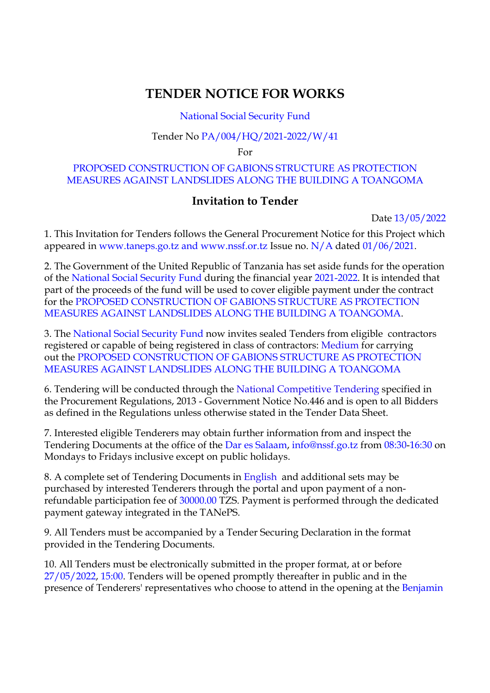# **TENDER NOTICE FOR WORKS**

### National Social Security Fund

#### Tender No PA/004/HQ/2021-2022/W/41

For

#### PROPOSED CONSTRUCTION OF GABIONS STRUCTURE AS PROTECTION MEASURES AGAINST LANDSLIDES ALONG THE BUILDING A TOANGOMA

## **Invitation to Tender**

Date 13/05/2022

1. This Invitation for Tenders follows the General Procurement Notice for this Project which appeared in www.taneps.go.tz and www.nssf.or.tz Issue no. N/A dated 01/06/2021.

2. The Government of the United Republic of Tanzania has set aside funds for the operation of the National Social Security Fund during the financial year 2021-2022. It is intended that part of the proceeds of the fund will be used to cover eligible payment under the contract for the PROPOSED CONSTRUCTION OF GABIONS STRUCTURE AS PROTECTION MEASURES AGAINST LANDSLIDES ALONG THE BUILDING A TOANGOMA.

3. The National Social Security Fund now invites sealed Tenders from eligible contractors registered or capable of being registered in class of contractors: Medium for carrying out the PROPOSED CONSTRUCTION OF GABIONS STRUCTURE AS PROTECTION MEASURES AGAINST LANDSLIDES ALONG THE BUILDING A TOANGOMA

6. Tendering will be conducted through the National Competitive Tendering specified in the Procurement Regulations, 2013 - Government Notice No.446 and is open to all Bidders as defined in the Regulations unless otherwise stated in the Tender Data Sheet.

7. Interested eligible Tenderers may obtain further information from and inspect the Tendering Documents at the office of the Dar es Salaam, info@nssf.go.tz from 08:30-16:30 on Mondays to Fridays inclusive except on public holidays.

8. A complete set of Tendering Documents in English and additional sets may be purchased by interested Tenderers through the portal and upon payment of a nonrefundable participation fee of 30000.00 TZS. Payment is performed through the dedicated payment gateway integrated in the TANePS.

9. All Tenders must be accompanied by a Tender Securing Declaration in the format provided in the Tendering Documents.

10. All Tenders must be electronically submitted in the proper format, at or before 27/05/2022, 15:00. Tenders will be opened promptly thereafter in public and in the presence of Tenderers' representatives who choose to attend in the opening at the Benjamin